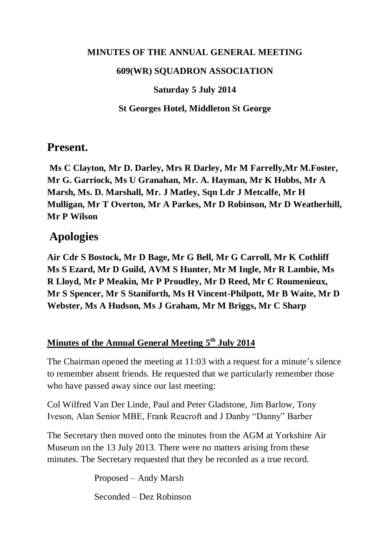#### **MINUTES OF THE ANNUAL GENERAL MEETING**

#### **609(WR) SQUADRON ASSOCIATION**

### **Saturday 5 July 2014**

### **St Georges Hotel, Middleton St George**

## **Present.**

**Ms C Clayton, Mr D. Darley, Mrs R Darley, Mr M Farrelly,Mr M.Foster, Mr G. Garriock, Ms U Granahan, Mr. A. Hayman, Mr K Hobbs, Mr A Marsh, Ms. D. Marshall, Mr. J Matley, Sqn Ldr J Metcalfe, Mr H Mulligan, Mr T Overton, Mr A Parkes, Mr D Robinson, Mr D Weatherhill, Mr P Wilson**

# **Apologies**

**Air Cdr S Bostock, Mr D Bage, Mr G Bell, Mr G Carroll, Mr K Cothliff Ms S Ezard, Mr D Guild, AVM S Hunter, Mr M Ingle, Mr R Lambie, Ms R Lloyd, Mr P Meakin, Mr P Proudley, Mr D Reed, Mr C Roumenieux, Mr S Spencer, Mr S Staniforth, Ms H Vincent-Philpott, Mr B Waite, Mr D Webster, Ms A Hudson, Ms J Graham, Mr M Briggs, Mr C Sharp**

## **Minutes of the Annual General Meeting 5 th July 2014**

The Chairman opened the meeting at 11:03 with a request for a minute's silence to remember absent friends. He requested that we particularly remember those who have passed away since our last meeting:

Col Wilfred Van Der Linde, Paul and Peter Gladstone, Jim Barlow, Tony Iveson, Alan Senior MBE, Frank Reacroft and J Danby "Danny" Barber

The Secretary then moved onto the minutes from the AGM at Yorkshire Air Museum on the 13 July 2013. There were no matters arising from these minutes. The Secretary requested that they be recorded as a true record.

> Proposed – Andy Marsh Seconded – Dez Robinson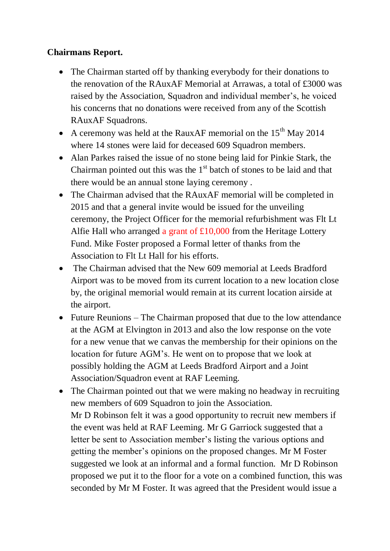## **Chairmans Report.**

- The Chairman started off by thanking everybody for their donations to the renovation of the RAuxAF Memorial at Arrawas, a total of £3000 was raised by the Association, Squadron and individual member's, he voiced his concerns that no donations were received from any of the Scottish RAuxAF Squadrons.
- A ceremony was held at the RauxAF memorial on the  $15<sup>th</sup>$  May 2014 where 14 stones were laid for deceased 609 Squadron members.
- Alan Parkes raised the issue of no stone being laid for Pinkie Stark, the Chairman pointed out this was the  $1<sup>st</sup>$  batch of stones to be laid and that there would be an annual stone laying ceremony .
- The Chairman advised that the RAuxAF memorial will be completed in 2015 and that a general invite would be issued for the unveiling ceremony, the Project Officer for the memorial refurbishment was Flt Lt Alfie Hall who arranged a grant of £10,000 from the Heritage Lottery Fund. Mike Foster proposed a Formal letter of thanks from the Association to Flt Lt Hall for his efforts.
- The Chairman advised that the New 609 memorial at Leeds Bradford Airport was to be moved from its current location to a new location close by, the original memorial would remain at its current location airside at the airport.
- Future Reunions The Chairman proposed that due to the low attendance at the AGM at Elvington in 2013 and also the low response on the vote for a new venue that we canvas the membership for their opinions on the location for future AGM's. He went on to propose that we look at possibly holding the AGM at Leeds Bradford Airport and a Joint Association/Squadron event at RAF Leeming.
- The Chairman pointed out that we were making no headway in recruiting new members of 609 Squadron to join the Association. Mr D Robinson felt it was a good opportunity to recruit new members if the event was held at RAF Leeming. Mr G Garriock suggested that a letter be sent to Association member's listing the various options and getting the member's opinions on the proposed changes. Mr M Foster suggested we look at an informal and a formal function. Mr D Robinson proposed we put it to the floor for a vote on a combined function, this was seconded by Mr M Foster. It was agreed that the President would issue a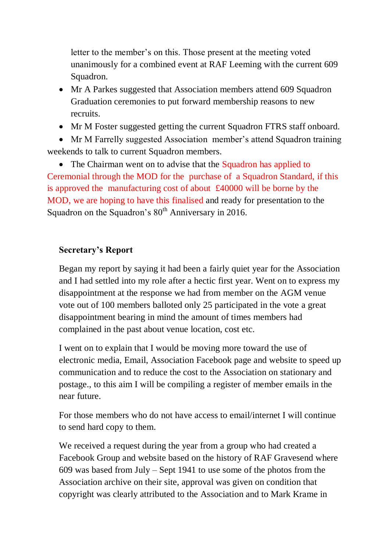letter to the member's on this. Those present at the meeting voted unanimously for a combined event at RAF Leeming with the current 609 Squadron.

- Mr A Parkes suggested that Association members attend 609 Squadron Graduation ceremonies to put forward membership reasons to new recruits.
- Mr M Foster suggested getting the current Squadron FTRS staff onboard.

• Mr M Farrelly suggested Association member's attend Squadron training weekends to talk to current Squadron members.

• The Chairman went on to advise that the Squadron has applied to Ceremonial through the MOD for the purchase of a Squadron Standard, if this is approved the manufacturing cost of about £40000 will be borne by the MOD, we are hoping to have this finalised and ready for presentation to the Squadron on the Squadron's  $80<sup>th</sup>$  Anniversary in 2016.

### **Secretary's Report**

Began my report by saying it had been a fairly quiet year for the Association and I had settled into my role after a hectic first year. Went on to express my disappointment at the response we had from member on the AGM venue vote out of 100 members balloted only 25 participated in the vote a great disappointment bearing in mind the amount of times members had complained in the past about venue location, cost etc.

I went on to explain that I would be moving more toward the use of electronic media, Email, Association Facebook page and website to speed up communication and to reduce the cost to the Association on stationary and postage., to this aim I will be compiling a register of member emails in the near future.

For those members who do not have access to email/internet I will continue to send hard copy to them.

We received a request during the year from a group who had created a Facebook Group and website based on the history of RAF Gravesend where 609 was based from July – Sept 1941 to use some of the photos from the Association archive on their site, approval was given on condition that copyright was clearly attributed to the Association and to Mark Krame in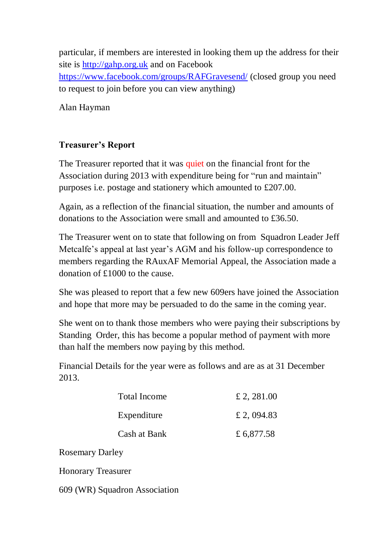particular, if members are interested in looking them up the address for their site is [http://gahp.org.uk](http://gahp.org.uk/) and on Facebook <https://www.facebook.com/groups/RAFGravesend/> (closed group you need to request to join before you can view anything)

Alan Hayman

## **Treasurer's Report**

The Treasurer reported that it was quiet on the financial front for the Association during 2013 with expenditure being for "run and maintain" purposes i.e. postage and stationery which amounted to £207.00.

Again, as a reflection of the financial situation, the number and amounts of donations to the Association were small and amounted to £36.50.

The Treasurer went on to state that following on from Squadron Leader Jeff Metcalfe's appeal at last year's AGM and his follow-up correspondence to members regarding the RAuxAF Memorial Appeal, the Association made a donation of £1000 to the cause.

She was pleased to report that a few new 609ers have joined the Association and hope that more may be persuaded to do the same in the coming year.

She went on to thank those members who were paying their subscriptions by Standing Order, this has become a popular method of payment with more than half the members now paying by this method.

Financial Details for the year were as follows and are as at 31 December 2013.

| Total Income | £ 2, 281.00 |
|--------------|-------------|
| Expenditure  | £ 2,094.83  |
| Cash at Bank | £ 6,877.58  |

Rosemary Darley

Honorary Treasurer

609 (WR) Squadron Association